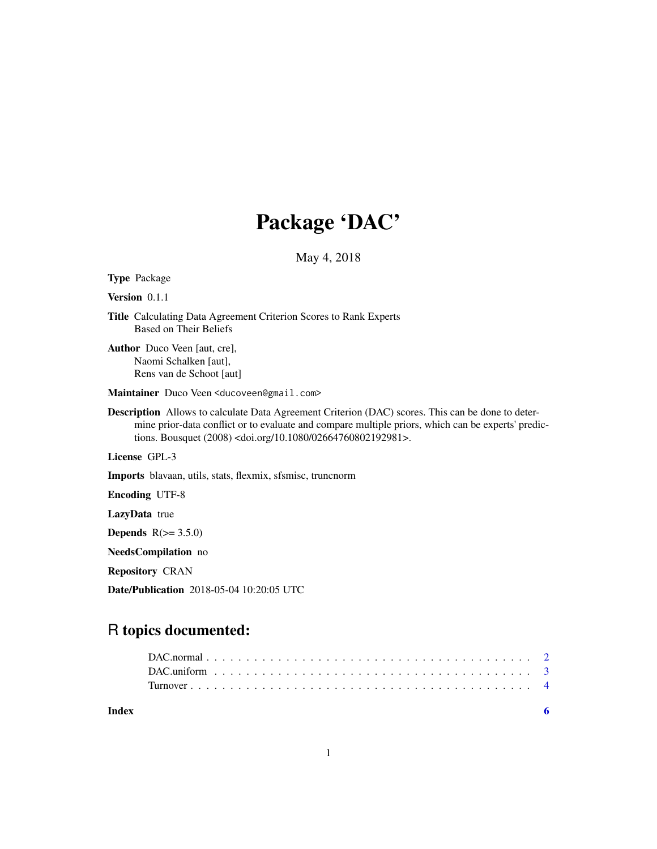## Package 'DAC'

May 4, 2018

Type Package

Version 0.1.1

Title Calculating Data Agreement Criterion Scores to Rank Experts Based on Their Beliefs

Author Duco Veen [aut, cre], Naomi Schalken [aut], Rens van de Schoot [aut]

Maintainer Duco Veen <ducoveen@gmail.com>

Description Allows to calculate Data Agreement Criterion (DAC) scores. This can be done to determine prior-data conflict or to evaluate and compare multiple priors, which can be experts' predictions. Bousquet (2008) <doi.org/10.1080/02664760802192981>.

License GPL-3

Imports blavaan, utils, stats, flexmix, sfsmisc, truncnorm

Encoding UTF-8

LazyData true

Depends  $R(>= 3.5.0)$ 

NeedsCompilation no

Repository CRAN

Date/Publication 2018-05-04 10:20:05 UTC

### R topics documented:

| DAC uniform enterpreteration of the contract of the contract of the contract of the contract of the contract of the contract of the contract of the contract of the contract of the contract of the contract of the contract o |  |
|--------------------------------------------------------------------------------------------------------------------------------------------------------------------------------------------------------------------------------|--|
|                                                                                                                                                                                                                                |  |
|                                                                                                                                                                                                                                |  |

**Index** [6](#page-5-0) **6**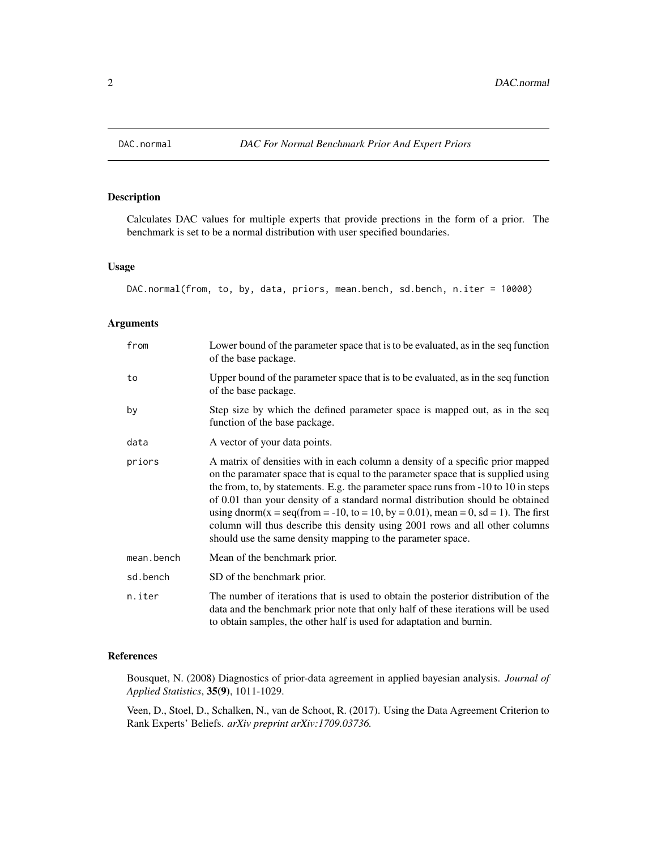#### Description

Calculates DAC values for multiple experts that provide prections in the form of a prior. The benchmark is set to be a normal distribution with user specified boundaries.

#### Usage

DAC.normal(from, to, by, data, priors, mean.bench, sd.bench, n.iter = 10000)

#### Arguments

| from       | Lower bound of the parameter space that is to be evaluated, as in the seq function<br>of the base package.                                                                                                                                                                                                                                                                                                                                                                                                                                                                       |
|------------|----------------------------------------------------------------------------------------------------------------------------------------------------------------------------------------------------------------------------------------------------------------------------------------------------------------------------------------------------------------------------------------------------------------------------------------------------------------------------------------------------------------------------------------------------------------------------------|
| to         | Upper bound of the parameter space that is to be evaluated, as in the seq function<br>of the base package.                                                                                                                                                                                                                                                                                                                                                                                                                                                                       |
| by         | Step size by which the defined parameter space is mapped out, as in the seq<br>function of the base package.                                                                                                                                                                                                                                                                                                                                                                                                                                                                     |
| data       | A vector of your data points.                                                                                                                                                                                                                                                                                                                                                                                                                                                                                                                                                    |
| priors     | A matrix of densities with in each column a density of a specific prior mapped<br>on the paramater space that is equal to the parameter space that is supplied using<br>the from, to, by statements. E.g. the parameter space runs from -10 to 10 in steps<br>of 0.01 than your density of a standard normal distribution should be obtained<br>using dnorm(x = seq(from = -10, to = 10, by = 0.01), mean = 0, sd = 1). The first<br>column will thus describe this density using 2001 rows and all other columns<br>should use the same density mapping to the parameter space. |
| mean.bench | Mean of the benchmark prior.                                                                                                                                                                                                                                                                                                                                                                                                                                                                                                                                                     |
| sd.bench   | SD of the benchmark prior.                                                                                                                                                                                                                                                                                                                                                                                                                                                                                                                                                       |
| n.iter     | The number of iterations that is used to obtain the posterior distribution of the<br>data and the benchmark prior note that only half of these iterations will be used<br>to obtain samples, the other half is used for adaptation and burnin.                                                                                                                                                                                                                                                                                                                                   |

#### References

Bousquet, N. (2008) Diagnostics of prior-data agreement in applied bayesian analysis. *Journal of Applied Statistics*, 35(9), 1011-1029.

Veen, D., Stoel, D., Schalken, N., van de Schoot, R. (2017). Using the Data Agreement Criterion to Rank Experts' Beliefs. *arXiv preprint arXiv:1709.03736.*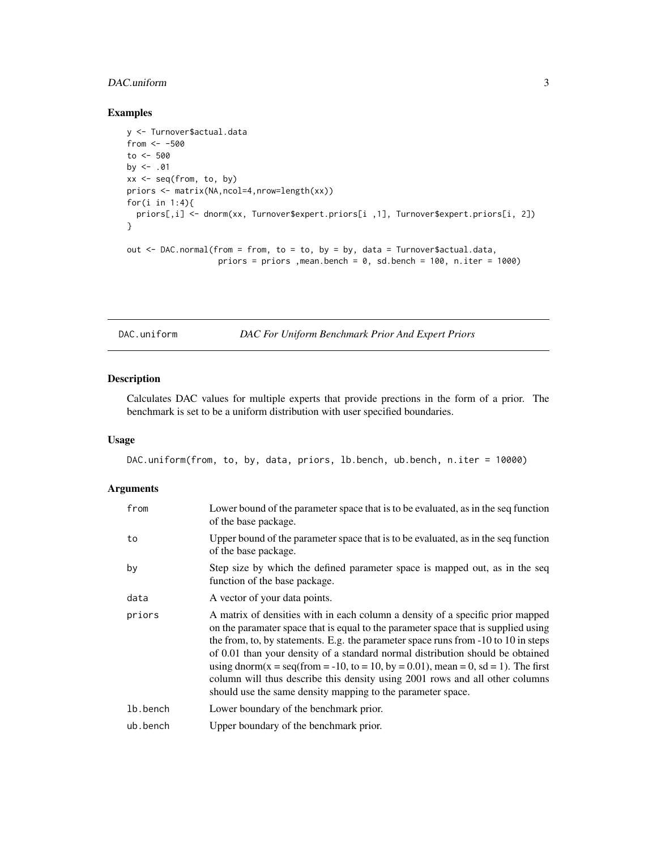#### <span id="page-2-0"></span>DAC.uniform 3

#### Examples

```
y <- Turnover$actual.data
from <- -500
to <- 500
by <-.01xx <- seq(from, to, by)
priors <- matrix(NA,ncol=4,nrow=length(xx))
for(i in 1:4){
  priors[,i] <- dnorm(xx, Turnover$expert.priors[i ,1], Turnover$expert.priors[i, 2])
}
out <- DAC.normal(from = from, to = to, by = by, data = Turnover$actual.data,
                   priors = priors , mean.bench = 0, sd.bench = 100, n.iter = 1000)
```
DAC.uniform *DAC For Uniform Benchmark Prior And Expert Priors*

#### Description

Calculates DAC values for multiple experts that provide prections in the form of a prior. The benchmark is set to be a uniform distribution with user specified boundaries.

#### Usage

DAC.uniform(from, to, by, data, priors, lb.bench, ub.bench, n.iter = 10000)

#### Arguments

| from     | Lower bound of the parameter space that is to be evaluated, as in the seq function<br>of the base package.                                                                                                                                                                                                                                                                                                                                                                                                                                                                           |
|----------|--------------------------------------------------------------------------------------------------------------------------------------------------------------------------------------------------------------------------------------------------------------------------------------------------------------------------------------------------------------------------------------------------------------------------------------------------------------------------------------------------------------------------------------------------------------------------------------|
| to       | Upper bound of the parameter space that is to be evaluated, as in the seq function<br>of the base package.                                                                                                                                                                                                                                                                                                                                                                                                                                                                           |
| by       | Step size by which the defined parameter space is mapped out, as in the seq<br>function of the base package.                                                                                                                                                                                                                                                                                                                                                                                                                                                                         |
| data     | A vector of your data points.                                                                                                                                                                                                                                                                                                                                                                                                                                                                                                                                                        |
| priors   | A matrix of densities with in each column a density of a specific prior mapped<br>on the paramater space that is equal to the parameter space that is supplied using<br>the from, to, by statements. E.g. the parameter space runs from -10 to 10 in steps<br>of 0.01 than your density of a standard normal distribution should be obtained<br>using dnorm( $x = seq(from = -10, to = 10, by = 0.01)$ , mean = 0, sd = 1). The first<br>column will thus describe this density using 2001 rows and all other columns<br>should use the same density mapping to the parameter space. |
| lb.bench | Lower boundary of the benchmark prior.                                                                                                                                                                                                                                                                                                                                                                                                                                                                                                                                               |
| ub.bench | Upper boundary of the benchmark prior.                                                                                                                                                                                                                                                                                                                                                                                                                                                                                                                                               |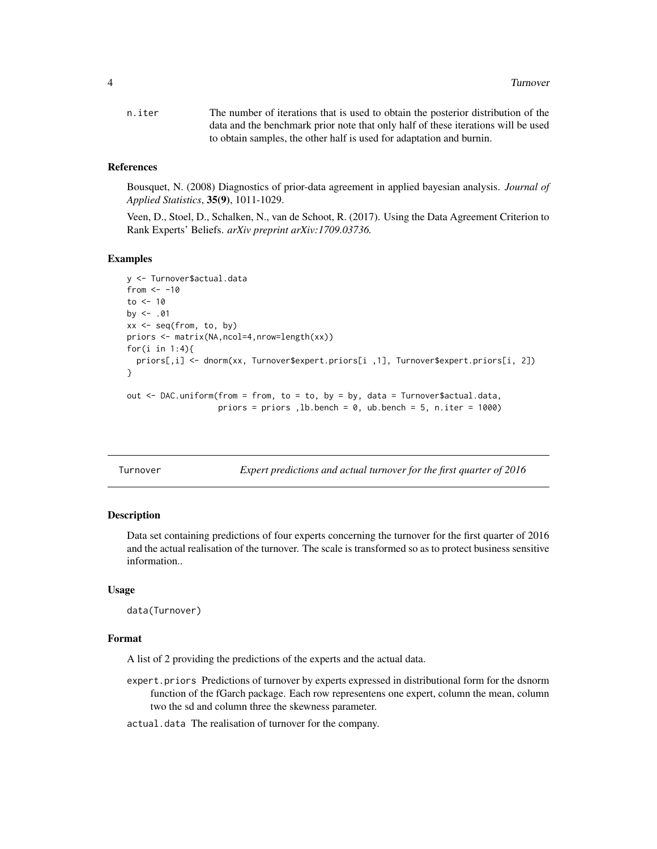<span id="page-3-0"></span>

| n.iter | The number of iterations that is used to obtain the posterior distribution of the |
|--------|-----------------------------------------------------------------------------------|
|        | data and the benchmark prior note that only half of these iterations will be used |
|        | to obtain samples, the other half is used for adaptation and burnin.              |

#### References

Bousquet, N. (2008) Diagnostics of prior-data agreement in applied bayesian analysis. *Journal of Applied Statistics*, 35(9), 1011-1029.

Veen, D., Stoel, D., Schalken, N., van de Schoot, R. (2017). Using the Data Agreement Criterion to Rank Experts' Beliefs. *arXiv preprint arXiv:1709.03736.*

#### Examples

```
y <- Turnover$actual.data
from <-10to <-10by <- .01
xx \leq -\text{seq}(\text{from}, \text{to}, \text{by})priors <- matrix(NA,ncol=4,nrow=length(xx))
for(i in 1:4){
  priors[,i] <- dnorm(xx, Turnover$expert.priors[i ,1], Turnover$expert.priors[i, 2])
}
out <- DAC.uniform(from = from, to = to, by = by, data = Turnover$actual.data,
                    priors = priors , 1b.bench = 0, ub.bench = 5, n.iter = 1000)
```
Turnover *Expert predictions and actual turnover for the first quarter of 2016*

#### Description

Data set containing predictions of four experts concerning the turnover for the first quarter of 2016 and the actual realisation of the turnover. The scale is transformed so as to protect business sensitive information..

#### Usage

data(Turnover)

#### Format

A list of 2 providing the predictions of the experts and the actual data.

expert.priors Predictions of turnover by experts expressed in distributional form for the dsnorm function of the fGarch package. Each row representens one expert, column the mean, column two the sd and column three the skewness parameter.

actual.data The realisation of turnover for the company.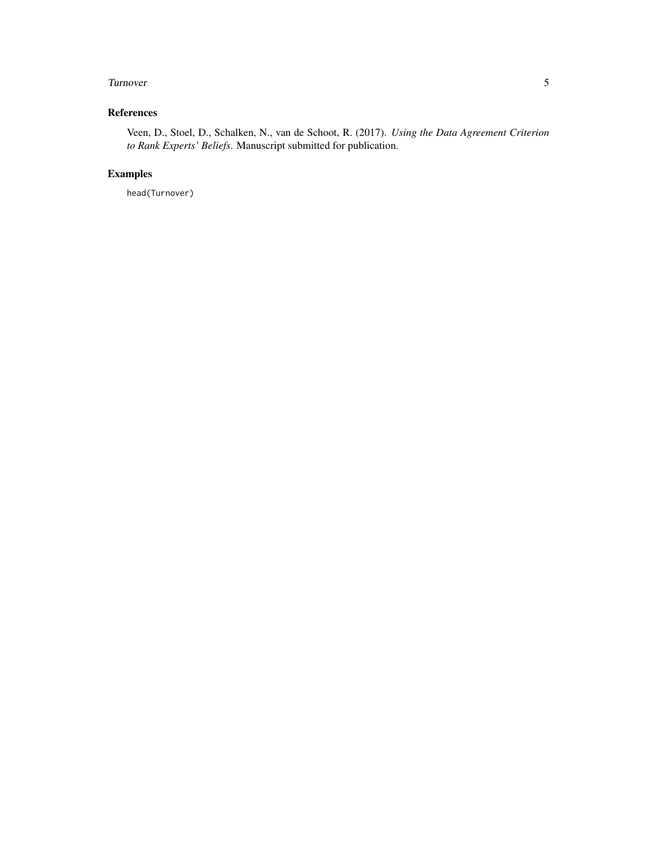#### Turnover 5

#### References

Veen, D., Stoel, D., Schalken, N., van de Schoot, R. (2017). *Using the Data Agreement Criterion to Rank Experts' Beliefs*. Manuscript submitted for publication.

#### Examples

head(Turnover)